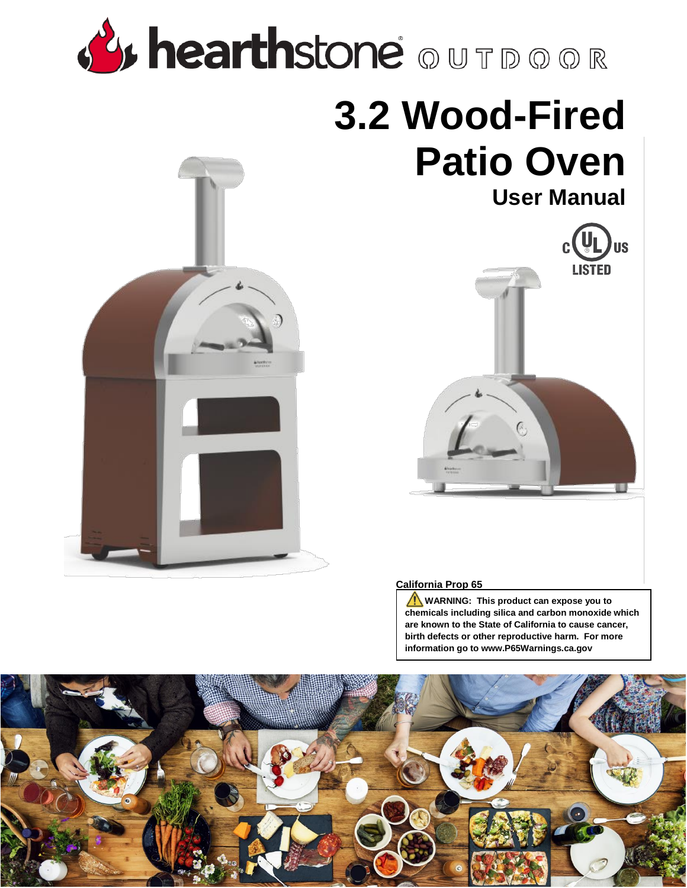# **By hearthstone** OUTDOOR

# **3.2 Wood-Fired Patio Oven User Manual**



#### **California Prop 65**

**WARNING:** This product can expose you to **chemicals including silica and carbon monoxide which are known to the State of California to cause cancer, birth defects or other reproductive harm. For more information go to www.P65Warnings.ca.gov**

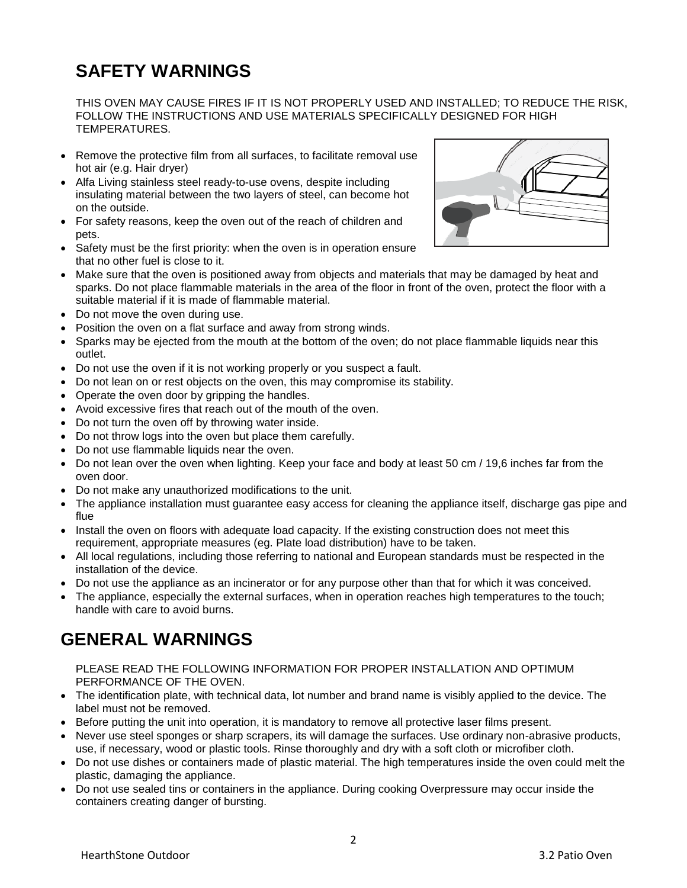# **SAFETY WARNINGS**

THIS OVEN MAY CAUSE FIRES IF IT IS NOT PROPERLY USED AND INSTALLED; TO REDUCE THE RISK, FOLLOW THE INSTRUCTIONS AND USE MATERIALS SPECIFICALLY DESIGNED FOR HIGH TEMPERATURES.

- Remove the protective film from all surfaces, to facilitate removal use hot air (e.g. Hair dryer)
- Alfa Living stainless steel ready-to-use ovens, despite including insulating material between the two layers of steel, can become hot on the outside.
- For safety reasons, keep the oven out of the reach of children and pets.
- Safety must be the first priority: when the oven is in operation ensure that no other fuel is close to it.
- Make sure that the oven is positioned away from objects and materials that may be damaged by heat and sparks. Do not place flammable materials in the area of the floor in front of the oven, protect the floor with a suitable material if it is made of flammable material.
- Do not move the oven during use.
- Position the oven on a flat surface and away from strong winds.
- Sparks may be ejected from the mouth at the bottom of the oven; do not place flammable liquids near this outlet.
- Do not use the oven if it is not working properly or you suspect a fault.
- Do not lean on or rest objects on the oven, this may compromise its stability.
- Operate the oven door by gripping the handles.
- Avoid excessive fires that reach out of the mouth of the oven.
- Do not turn the oven off by throwing water inside.
- Do not throw logs into the oven but place them carefully.
- Do not use flammable liquids near the oven.
- Do not lean over the oven when lighting. Keep your face and body at least 50 cm / 19,6 inches far from the oven door.
- Do not make any unauthorized modifications to the unit.
- The appliance installation must guarantee easy access for cleaning the appliance itself, discharge gas pipe and flue
- Install the oven on floors with adequate load capacity. If the existing construction does not meet this requirement, appropriate measures (eg. Plate load distribution) have to be taken.
- All local regulations, including those referring to national and European standards must be respected in the installation of the device.
- Do not use the appliance as an incinerator or for any purpose other than that for which it was conceived.
- The appliance, especially the external surfaces, when in operation reaches high temperatures to the touch; handle with care to avoid burns.

### **GENERAL WARNINGS**

#### PLEASE READ THE FOLLOWING INFORMATION FOR PROPER INSTALLATION AND OPTIMUM PERFORMANCE OF THE OVEN.

- The identification plate, with technical data, lot number and brand name is visibly applied to the device. The label must not be removed.
- Before putting the unit into operation, it is mandatory to remove all protective laser films present.
- Never use steel sponges or sharp scrapers, its will damage the surfaces. Use ordinary non-abrasive products, use, if necessary, wood or plastic tools. Rinse thoroughly and dry with a soft cloth or microfiber cloth.
- Do not use dishes or containers made of plastic material. The high temperatures inside the oven could melt the plastic, damaging the appliance.
- Do not use sealed tins or containers in the appliance. During cooking Overpressure may occur inside the containers creating danger of bursting.

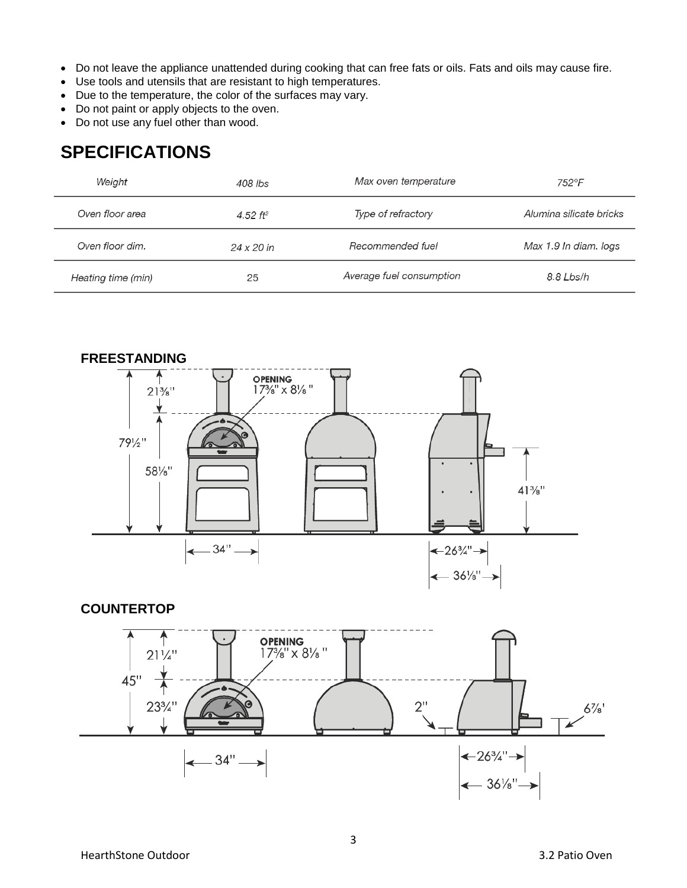- Do not leave the appliance unattended during cooking that can free fats or oils. Fats and oils may cause fire.
- Use tools and utensils that are resistant to high temperatures.
- Due to the temperature, the color of the surfaces may vary.
- Do not paint or apply objects to the oven.
- Do not use any fuel other than wood.

# **SPECIFICATIONS**

| Weight             | 408 lbs              | Max oven temperature     | 752°F                   |
|--------------------|----------------------|--------------------------|-------------------------|
| Oven floor area    | 4.52 ft <sup>2</sup> | Type of refractory       | Alumina silicate bricks |
| Oven floor dim.    | 24 x 20 in           | Recommended fuel         | Max 1.9 In diam. logs   |
| Heating time (min) | 25                   | Average fuel consumption | 8.8 Lbs/h               |



#### **COUNTERTOP**

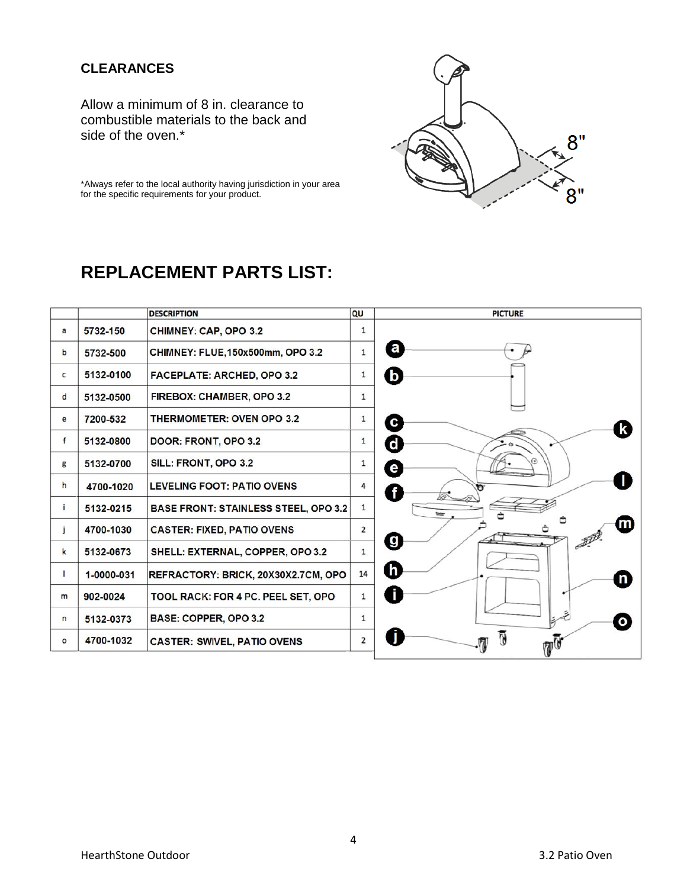#### **CLEARANCES**

Allow a minimum of 8 in. clearance to combustible materials to the back and side of the oven.\*



\*Always refer to the local authority having jurisdiction in your area for the specific requirements for your product.

# **REPLACEMENT PARTS LIST:**

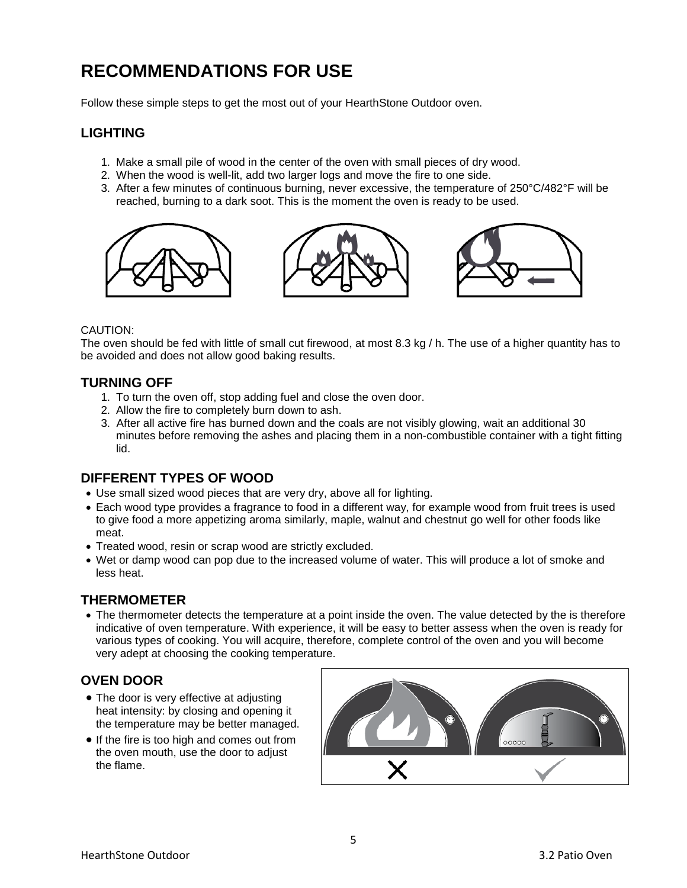# **RECOMMENDATIONS FOR USE**

Follow these simple steps to get the most out of your HearthStone Outdoor oven.

#### **LIGHTING**

- 1. Make a small pile of wood in the center of the oven with small pieces of dry wood.
- 2. When the wood is well-lit, add two larger logs and move the fire to one side.
- 3. After a few minutes of continuous burning, never excessive, the temperature of 250°C/482°F will be reached, burning to a dark soot. This is the moment the oven is ready to be used.



#### CAUTION:

The oven should be fed with little of small cut firewood, at most 8.3 kg / h. The use of a higher quantity has to be avoided and does not allow good baking results.

#### **TURNING OFF**

- 1. To turn the oven off, stop adding fuel and close the oven door.
- 2. Allow the fire to completely burn down to ash.
- 3. After all active fire has burned down and the coals are not visibly glowing, wait an additional 30 minutes before removing the ashes and placing them in a non-combustible container with a tight fitting lid.

#### **DIFFERENT TYPES OF WOOD**

- Use small sized wood pieces that are very dry, above all for lighting.
- Each wood type provides a fragrance to food in a different way, for example wood from fruit trees is used to give food a more appetizing aroma similarly, maple, walnut and chestnut go well for other foods like meat.
- Treated wood, resin or scrap wood are strictly excluded.
- Wet or damp wood can pop due to the increased volume of water. This will produce a lot of smoke and less heat.

#### **THERMOMETER**

• The thermometer detects the temperature at a point inside the oven. The value detected by the is therefore indicative of oven temperature. With experience, it will be easy to better assess when the oven is ready for various types of cooking. You will acquire, therefore, complete control of the oven and you will become very adept at choosing the cooking temperature.

#### **OVEN DOOR**

- The door is very effective at adjusting heat intensity: by closing and opening it the temperature may be better managed.
- If the fire is too high and comes out from the oven mouth, use the door to adjust the flame.

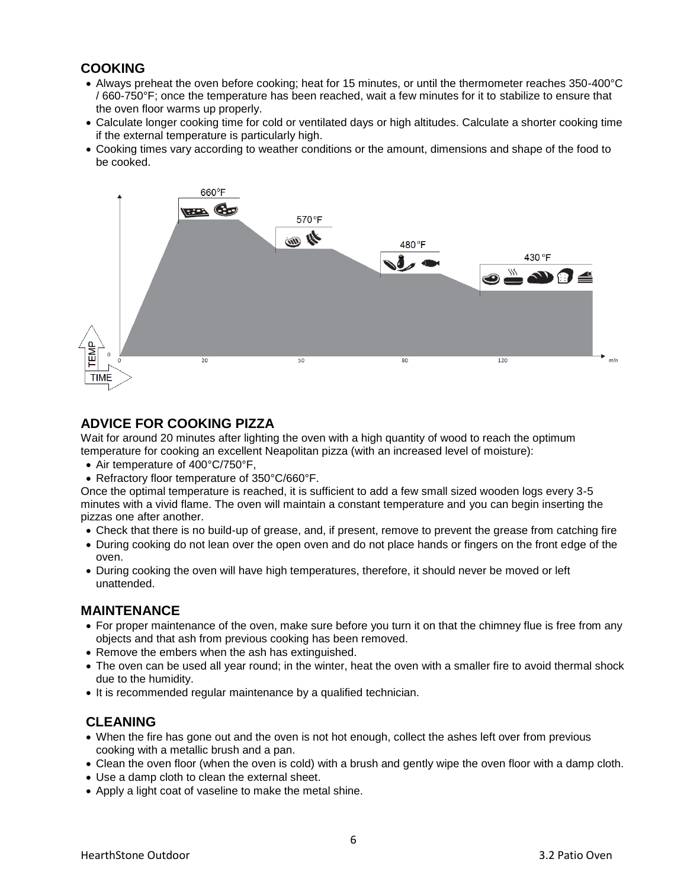#### **COOKING**

- Always preheat the oven before cooking; heat for 15 minutes, or until the thermometer reaches 350-400°C / 660-750°F; once the temperature has been reached, wait a few minutes for it to stabilize to ensure that the oven floor warms up properly.
- Calculate longer cooking time for cold or ventilated days or high altitudes. Calculate a shorter cooking time if the external temperature is particularly high.
- Cooking times vary according to weather conditions or the amount, dimensions and shape of the food to be cooked.



#### **ADVICE FOR COOKING PIZZA**

Wait for around 20 minutes after lighting the oven with a high quantity of wood to reach the optimum temperature for cooking an excellent Neapolitan pizza (with an increased level of moisture):

- Air temperature of 400°C/750°F.
- Refractory floor temperature of 350°C/660°F.

Once the optimal temperature is reached, it is sufficient to add a few small sized wooden logs every 3-5 minutes with a vivid flame. The oven will maintain a constant temperature and you can begin inserting the pizzas one after another.

- Check that there is no build-up of grease, and, if present, remove to prevent the grease from catching fire
- During cooking do not lean over the open oven and do not place hands or fingers on the front edge of the oven.
- During cooking the oven will have high temperatures, therefore, it should never be moved or left unattended.

#### **MAINTENANCE**

- For proper maintenance of the oven, make sure before you turn it on that the chimney flue is free from any objects and that ash from previous cooking has been removed.
- Remove the embers when the ash has extinguished.
- The oven can be used all year round; in the winter, heat the oven with a smaller fire to avoid thermal shock due to the humidity.
- It is recommended regular maintenance by a qualified technician.

#### **CLEANING**

- When the fire has gone out and the oven is not hot enough, collect the ashes left over from previous cooking with a metallic brush and a pan.
- Clean the oven floor (when the oven is cold) with a brush and gently wipe the oven floor with a damp cloth.
- Use a damp cloth to clean the external sheet.
- Apply a light coat of vaseline to make the metal shine.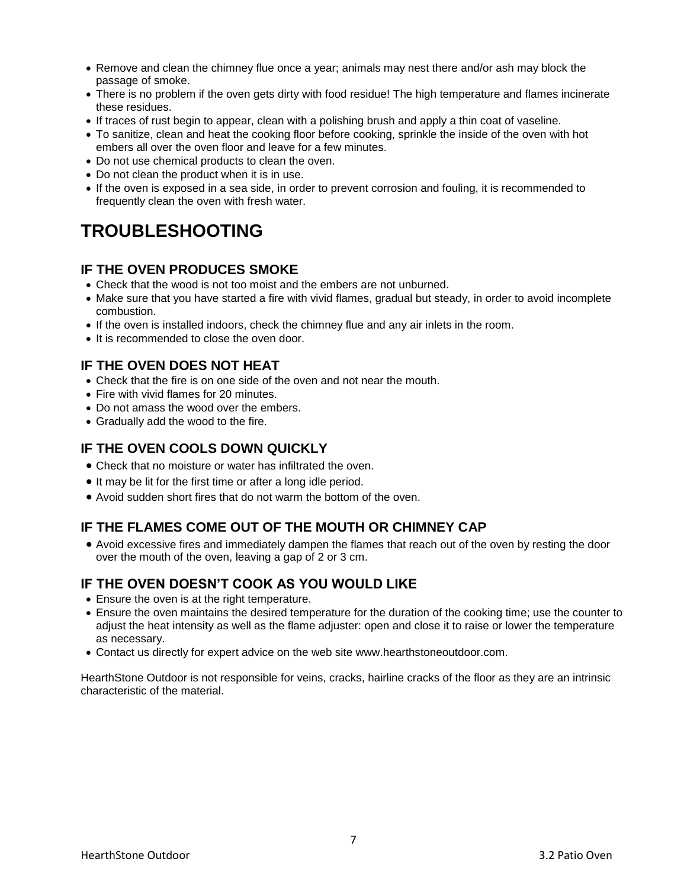- Remove and clean the chimney flue once a year; animals may nest there and/or ash may block the passage of smoke.
- There is no problem if the oven gets dirty with food residue! The high temperature and flames incinerate these residues.
- If traces of rust begin to appear, clean with a polishing brush and apply a thin coat of vaseline.
- To sanitize, clean and heat the cooking floor before cooking, sprinkle the inside of the oven with hot embers all over the oven floor and leave for a few minutes.
- Do not use chemical products to clean the oven.
- Do not clean the product when it is in use.
- If the oven is exposed in a sea side, in order to prevent corrosion and fouling, it is recommended to frequently clean the oven with fresh water.

## **TROUBLESHOOTING**

#### **IF THE OVEN PRODUCES SMOKE**

- Check that the wood is not too moist and the embers are not unburned.
- Make sure that you have started a fire with vivid flames, gradual but steady, in order to avoid incomplete combustion.
- If the oven is installed indoors, check the chimney flue and any air inlets in the room.
- It is recommended to close the oven door.

#### **IF THE OVEN DOES NOT HEAT**

- Check that the fire is on one side of the oven and not near the mouth.
- Fire with vivid flames for 20 minutes.
- Do not amass the wood over the embers.
- Gradually add the wood to the fire.

#### **IF THE OVEN COOLS DOWN QUICKLY**

- Check that no moisture or water has infiltrated the oven.
- It may be lit for the first time or after a long idle period.
- Avoid sudden short fires that do not warm the bottom of the oven.

#### **IF THE FLAMES COME OUT OF THE MOUTH OR CHIMNEY CAP**

 Avoid excessive fires and immediately dampen the flames that reach out of the oven by resting the door over the mouth of the oven, leaving a gap of 2 or 3 cm.

#### **IF THE OVEN DOESN'T COOK AS YOU WOULD LIKE**

- Ensure the oven is at the right temperature.
- Ensure the oven maintains the desired temperature for the duration of the cooking time; use the counter to adjust the heat intensity as well as the flame adjuster: open and close it to raise or lower the temperature as necessary.
- Contact us directly for expert advice on the web site www.hearthstoneoutdoor.com.

HearthStone Outdoor is not responsible for veins, cracks, hairline cracks of the floor as they are an intrinsic characteristic of the material.